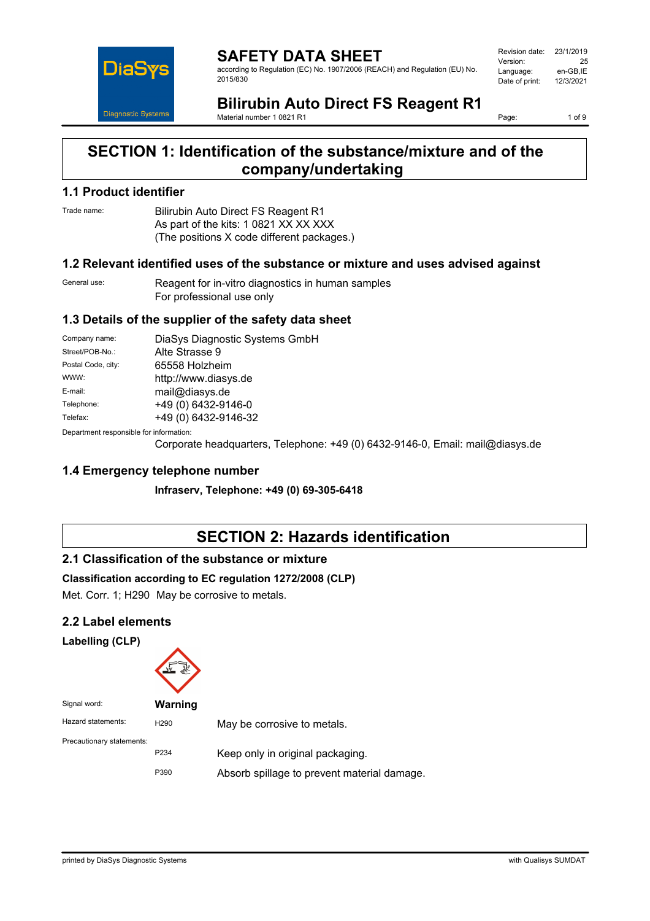

**SAFETY DATA SHEET** according to Regulation (EC) No. 1907/2006 (REACH) and Regulation (EU) No. 2015/830

Revision date: 23/1/2019 Version: 25<br>Language: en-GB.IE Language: en-GB,IE<br>Date of print: 12/3/2021 Date of print:

**Bilirubin Auto Direct FS Reagent R1** Material number 1 0821 R1

Page: 1 of 9

## **SECTION 1: Identification of the substance/mixture and of the company/undertaking**

## **1.1 Product identifier**

Trade name: Bilirubin Auto Direct FS Reagent R1 As part of the kits: 1 0821 XX XX XXX (The positions X code different packages.)

#### **1.2 Relevant identified uses of the substance or mixture and uses advised against**

General use: Reagent for in-vitro diagnostics in human samples For professional use only

### **1.3 Details of the supplier of the safety data sheet**

| Company name:                           | DiaSys Diagnostic Systems GmbH |  |
|-----------------------------------------|--------------------------------|--|
| Street/POB-No.:                         | Alte Strasse 9                 |  |
| Postal Code, city:                      | 65558 Holzheim                 |  |
| WWW:                                    | http://www.diasys.de           |  |
| E-mail:                                 | mail@diasys.de                 |  |
| Telephone:                              | +49 (0) 6432-9146-0            |  |
| Telefax:                                | +49 (0) 6432-9146-32           |  |
| Donortmont rooponsible for information: |                                |  |

0epartment responsible fo

Corporate headquarters, Telephone: +49 (0) 6432-9146-0, Email: mail@diasys.de

### **1.4 Emergency telephone number**

**Infraserv, Telephone: +49 (0) 69-305-6418**

## **SECTION 2: Hazards identification**

### **2.1 Classification of the substance or mixture**

#### **Classification according to EC regulation 1272/2008 (CLP)**

Met. Corr. 1; H290 May be corrosive to metals.

### **2.2 Label elements**

**Labelling (CLP)**



| . טושו ואושו              | <u>VVALIIIIIY</u> |                                             |
|---------------------------|-------------------|---------------------------------------------|
| Hazard statements:        | H <sub>290</sub>  | May be corrosive to metals.                 |
| Precautionary statements: |                   |                                             |
|                           | P <sub>2</sub> 34 | Keep only in original packaging.            |
|                           | P390              | Absorb spillage to prevent material damage. |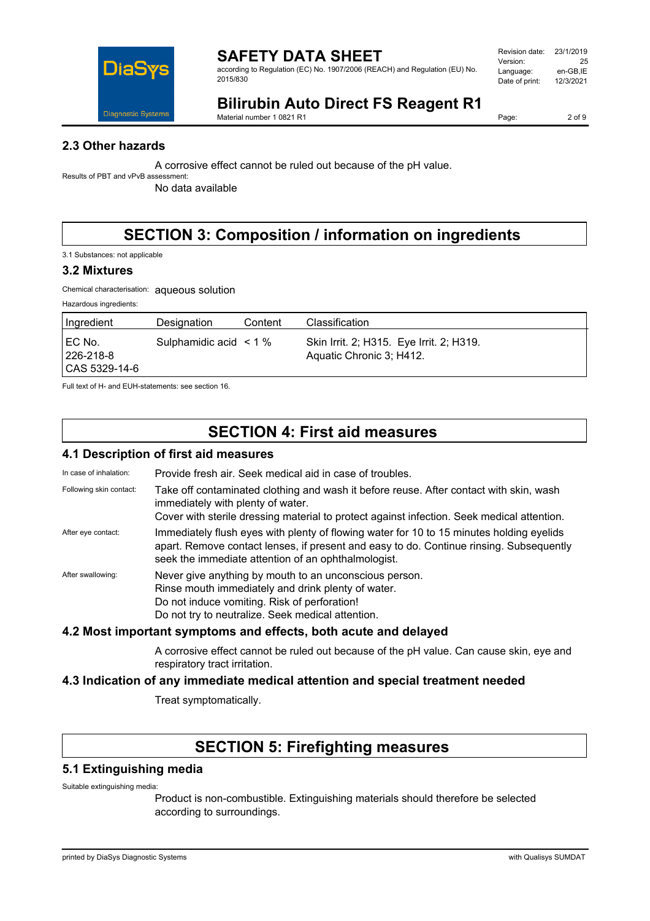

according to Regulation (EC) No. 1907/2006 (REACH) and Regulation (EU) No. 2015/830

| Revision date: | 23/1/2019 |
|----------------|-----------|
| Version:       | 25        |
| Language:      | en-GB.IE  |
| Date of print: | 12/3/2021 |
|                |           |

# **Bilirubin Auto Direct FS Reagent R1**

Material number 1 0821 R1

Page: 2 of 9

### **2.3 Other hazards**

A corrosive effect cannot be ruled out because of the pH value.

Results of PBT and vPvB assessment:

No data available

# **SECTION 3: Composition / information on ingredients**

3.1 Substances: not applicable

#### **3.2 Mixtures**

Chemical characterisation: aqueous solution

Hazardous ingredients:

| ∣Ingredient                             | Designation                 | Content | Classification                                                       |
|-----------------------------------------|-----------------------------|---------|----------------------------------------------------------------------|
| I EC No.<br>226-218-8<br> CAS 5329-14-6 | Sulphamidic acid $\leq$ 1 % |         | Skin Irrit. 2; H315. Eye Irrit. 2; H319.<br>Aquatic Chronic 3; H412. |

Full text of H- and EUH-statements: see section 16.

## **SECTION 4: First aid measures**

### **4.1 Description of first aid measures**

| In case of inhalation:  | Provide fresh air. Seek medical aid in case of troubles.                                                                                                                                                                                   |
|-------------------------|--------------------------------------------------------------------------------------------------------------------------------------------------------------------------------------------------------------------------------------------|
| Following skin contact: | Take off contaminated clothing and wash it before reuse. After contact with skin, wash<br>immediately with plenty of water.<br>Cover with sterile dressing material to protect against infection. Seek medical attention.                  |
| After eye contact:      | Immediately flush eyes with plenty of flowing water for 10 to 15 minutes holding eyelids<br>apart. Remove contact lenses, if present and easy to do. Continue rinsing. Subsequently<br>seek the immediate attention of an ophthalmologist. |
| After swallowing:       | Never give anything by mouth to an unconscious person.<br>Rinse mouth immediately and drink plenty of water.<br>Do not induce vomiting. Risk of perforation!<br>Do not try to neutralize. Seek medical attention.                          |

### **4.2 Most important symptoms and effects, both acute and delayed**

A corrosive effect cannot be ruled out because of the pH value. Can cause skin, eye and respiratory tract irritation.

### **4.3 Indication of any immediate medical attention and special treatment needed**

Treat symptomatically.

## **SECTION 5: Firefighting measures**

#### **5.1 Extinguishing media**

Suitable extinguishing media:

Product is non-combustible. Extinguishing materials should therefore be selected according to surroundings.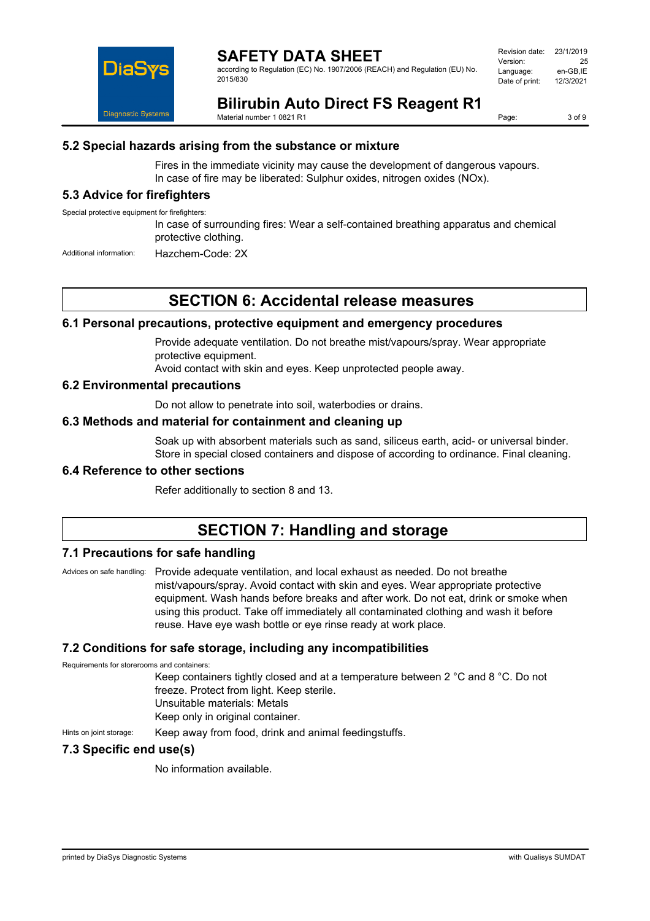

according to Regulation (EC) No. 1907/2006 (REACH) and Regulation (EU) No. 2015/830

| Revision date: | 23/1/2019 |
|----------------|-----------|
| Version:       | 25        |
| Language:      | en-GB.IE  |
| Date of print: | 12/3/2021 |
|                |           |

# **Bilirubin Auto Direct FS Reagent R1**

Material number 1 0821 R1

Page: 3 of 9

## **5.2 Special hazards arising from the substance or mixture**

Fires in the immediate vicinity may cause the development of dangerous vapours. In case of fire may be liberated: Sulphur oxides, nitrogen oxides (NOx).

## **5.3 Advice for firefighters**

Special protective equipment for firefighters:

In case of surrounding fires: Wear a self-contained breathing apparatus and chemical protective clothing.

Additional information: Hazchem-Code: 2X

## **SECTION 6: Accidental release measures**

#### **6.1 Personal precautions, protective equipment and emergency procedures**

Provide adequate ventilation. Do not breathe mist/vapours/spray. Wear appropriate protective equipment.

Avoid contact with skin and eyes. Keep unprotected people away.

#### **6.2 Environmental precautions**

Do not allow to penetrate into soil, waterbodies or drains.

#### **6.3 Methods and material for containment and cleaning up**

Soak up with absorbent materials such as sand, siliceus earth, acid- or universal binder. Store in special closed containers and dispose of according to ordinance. Final cleaning.

#### **6.4 Reference to other sections**

Refer additionally to section 8 and 13.

## **SECTION 7: Handling and storage**

#### **7.1 Precautions for safe handling**

Advices on safe handling: Provide adequate ventilation, and local exhaust as needed. Do not breathe mist/vapours/spray. Avoid contact with skin and eyes. Wear appropriate protective equipment. Wash hands before breaks and after work. Do not eat, drink or smoke when using this product. Take off immediately all contaminated clothing and wash it before reuse. Have eye wash bottle or eye rinse ready at work place.

### **7.2 Conditions for safe storage, including any incompatibilities**

Requirements for storerooms and containers:

Keep containers tightly closed and at a temperature between 2 °C and 8 °C. Do not freeze. Protect from light. Keep sterile. Unsuitable materials: Metals

Keep only in original container.

Hints on joint storage: Keep away from food, drink and animal feedingstuffs.

### **7.3 Specific end use(s)**

No information available.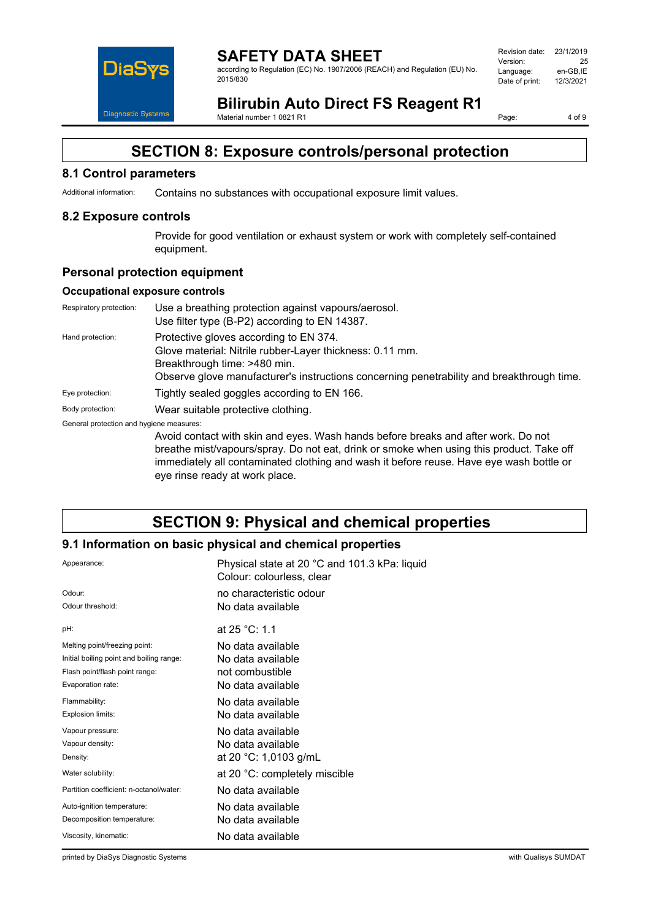

#### **SAFETY DATA SHEET** according to Regulation (EC) No. 1907/2006 (REACH) and Regulation (EU) No. 2015/830

| Revision date: | 23/1/2019 |
|----------------|-----------|
| Version:       | 25        |
| Language:      | en-GB.IE  |
| Date of print: | 12/3/2021 |
|                |           |

# **Bilirubin Auto Direct FS Reagent R1**

Material number 1 0821 R1

Page: 4 of 9

## **SECTION 8: Exposure controls/personal protection**

#### **8.1 Control parameters**

Additional information: Contains no substances with occupational exposure limit values.

#### **8.2 Exposure controls**

Provide for good ventilation or exhaust system or work with completely self-contained equipment.

#### **Personal protection equipment**

#### **Occupational exposure controls**

| Respiratory protection:                  | Use a breathing protection against vapours/aerosol.<br>Use filter type (B-P2) according to EN 14387.                                                                                                                            |
|------------------------------------------|---------------------------------------------------------------------------------------------------------------------------------------------------------------------------------------------------------------------------------|
| Hand protection:                         | Protective gloves according to EN 374.<br>Glove material: Nitrile rubber-Layer thickness: 0.11 mm.<br>Breakthrough time: >480 min.<br>Observe glove manufacturer's instructions concerning penetrability and breakthrough time. |
| Eye protection:                          | Tightly sealed goggles according to EN 166.                                                                                                                                                                                     |
| Body protection:                         | Wear suitable protective clothing.                                                                                                                                                                                              |
| General protection and hygiene measures: | Avoid contact with skin and eves. Wash hands before breaks and after work. Do not                                                                                                                                               |

Avoid contact with skin and eyes. Wash hands before breaks and after work. Do not breathe mist/vapours/spray. Do not eat, drink or smoke when using this product. Take off immediately all contaminated clothing and wash it before reuse. Have eye wash bottle or eye rinse ready at work place.

## **SECTION 9: Physical and chemical properties**

### **9.1 Information on basic physical and chemical properties**

| Appearance:                              | Physical state at 20 °C and 101.3 kPa: liquid<br>Colour: colourless, clear |
|------------------------------------------|----------------------------------------------------------------------------|
| Odour:                                   | no characteristic odour                                                    |
| Odour threshold:                         | No data available                                                          |
| pH:                                      | at 25 °C: 1.1                                                              |
| Melting point/freezing point:            | No data available                                                          |
| Initial boiling point and boiling range: | No data available                                                          |
| Flash point/flash point range:           | not combustible                                                            |
| Evaporation rate:                        | No data available                                                          |
| Flammability:                            | No data available                                                          |
| Explosion limits:                        | No data available                                                          |
| Vapour pressure:                         | No data available                                                          |
| Vapour density:                          | No data available                                                          |
| Density:                                 | at 20 °C: 1,0103 g/mL                                                      |
| Water solubility:                        | at 20 °C: completely miscible                                              |
| Partition coefficient: n-octanol/water:  | No data available                                                          |
| Auto-ignition temperature:               | No data available                                                          |
| Decomposition temperature:               | No data available                                                          |
| Viscosity, kinematic:                    | No data available                                                          |

printed by DiaSys Diagnostic Systems with Qualisys SUMDAT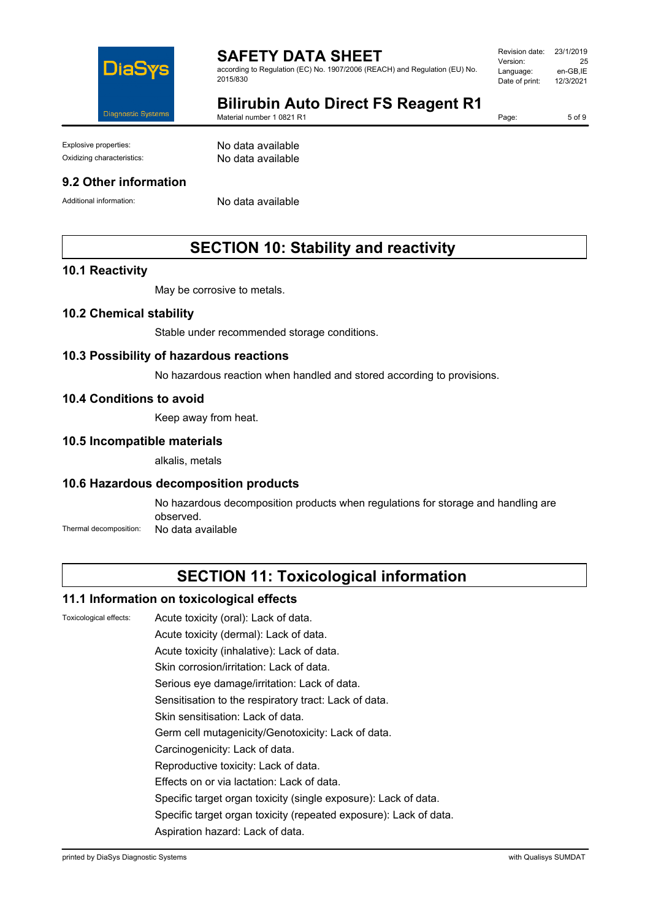

according to Regulation (EC) No. 1907/2006 (REACH) and Regulation (EU) No. 2015/830

| Revision date: | 23/1/2019 |
|----------------|-----------|
| Version:       | 25        |
| Language:      | en-GB.IE  |
| Date of print: | 12/3/2021 |
|                |           |

# **Bilirubin Auto Direct FS Reagent R1**

Material number 1 0821 R1

Page: 5 of 9

Explosive properties: No data available

Oxidizing characteristics: No data available

#### **9.2 Other information**

Additional information: No data available

## **SECTION 10: Stability and reactivity**

#### **10.1 Reactivity**

May be corrosive to metals.

#### **10.2 Chemical stability**

Stable under recommended storage conditions.

#### **10.3 Possibility of hazardous reactions**

No hazardous reaction when handled and stored according to provisions.

#### **10.4 Conditions to avoid**

Keep away from heat.

#### **10.5 Incompatible materials**

alkalis, metals

#### **10.6 Hazardous decomposition products**

No hazardous decomposition products when regulations for storage and handling are observed. Thermal decomposition: No data available

## **SECTION 11: Toxicological information**

#### **11.1 Information on toxicological effects**

Toxicological effects: Acute toxicity (oral): Lack of data.

Acute toxicity (dermal): Lack of data.

Acute toxicity (inhalative): Lack of data.

Skin corrosion/irritation: Lack of data.

Serious eye damage/irritation: Lack of data.

Sensitisation to the respiratory tract: Lack of data.

Skin sensitisation: Lack of data.

Germ cell mutagenicity/Genotoxicity: Lack of data.

Carcinogenicity: Lack of data.

Reproductive toxicity: Lack of data.

Effects on or via lactation: Lack of data.

Specific target organ toxicity (single exposure): Lack of data.

Specific target organ toxicity (repeated exposure): Lack of data.

Aspiration hazard: Lack of data.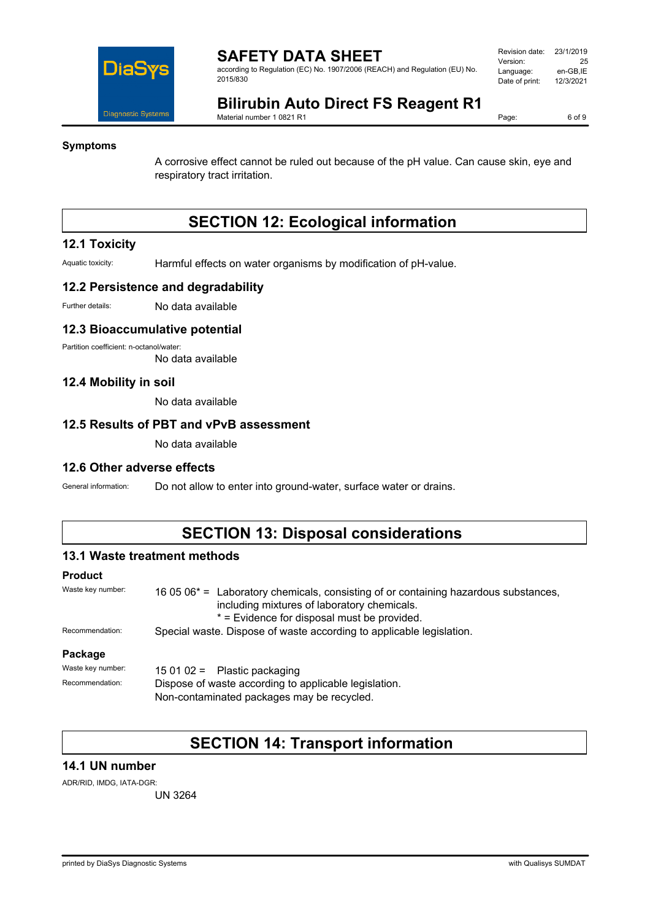

according to Regulation (EC) No. 1907/2006 (REACH) and Regulation (EU) No. 2015/830

| Revision date: | 23/1/2019 |
|----------------|-----------|
| Version:       | 25        |
| Language:      | en-GB.IE  |
| Date of print: | 12/3/2021 |
|                |           |

# **Bilirubin Auto Direct FS Reagent R1**

Material number 1 0821 R1

Page: 6 of 9

### **Symptoms**

A corrosive effect cannot be ruled out because of the pH value. Can cause skin, eye and respiratory tract irritation.

# **SECTION 12: Ecological information**

#### **12.1 Toxicity**

Aquatic toxicity: Harmful effects on water organisms by modification of pH-value.

#### **12.2 Persistence and degradability**

Further details: No data available

#### **12.3 Bioaccumulative potential**

Partition coefficient: n-octanol/water:

No data available

#### **12.4 Mobility in soil**

No data available

#### **12.5 Results of PBT and vPvB assessment**

No data available

#### **12.6 Other adverse effects**

General information: Do not allow to enter into ground-water, surface water or drains.

## **SECTION 13: Disposal considerations**

#### **13.1 Waste treatment methods**

### **Product**

| Waste key number: | 16 05 06 <sup>*</sup> = Laboratory chemicals, consisting of or containing hazardous substances,<br>including mixtures of laboratory chemicals.<br>* = Evidence for disposal must be provided. |  |
|-------------------|-----------------------------------------------------------------------------------------------------------------------------------------------------------------------------------------------|--|
| Recommendation:   | Special waste. Dispose of waste according to applicable legislation.                                                                                                                          |  |
| Package           |                                                                                                                                                                                               |  |
| Waste key number: | 15 01 02 = Plastic packaging                                                                                                                                                                  |  |
| Recommendation:   | Dispose of waste according to applicable legislation.<br>Non-contaminated packages may be recycled.                                                                                           |  |

## **SECTION 14: Transport information**

#### **14.1 UN number**

ADR/RID, IMDG, IATA-DGR:

UN 3264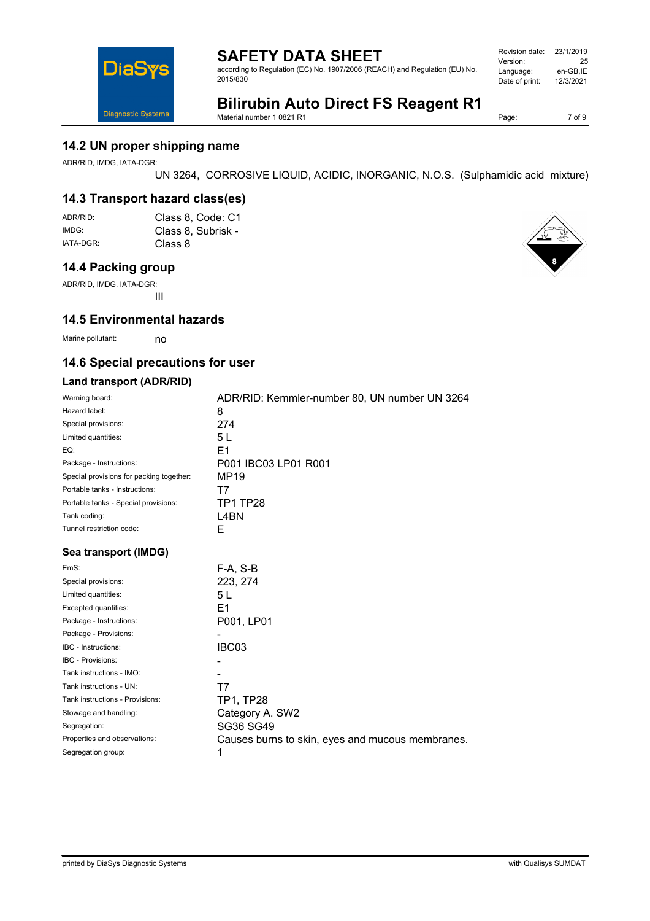according to Regulation (EC) No. 1907/2006 (REACH) and Regulation (EU) No. 2015/830

| Revision date: | 23/1/2019 |
|----------------|-----------|
| Version:       | 25        |
| Language:      | en-GB.IE  |
| Date of print: | 12/3/2021 |
|                |           |

# **Bilirubin Auto Direct FS Reagent R1**

Material number 1 0821 R1

Page: 7 of 9

### **14.2 UN proper shipping name**

ADR/RID, IMDG, IATA-DGR:

**DiaS** 

Diagnostic Systems

UN 3264, CORROSIVE LIQUID, ACIDIC, INORGANIC, N.O.S. (Sulphamidic acid mixture)

## **14.3 Transport hazard class(es)**

| ADR/RID:  | Class 8, Code: C1  |
|-----------|--------------------|
| IMDG:     | Class 8, Subrisk - |
| IATA-DGR: | Class 8            |

#### **14.4 Packing group**

ADR/RID, IMDG, IATA-DGR: III

### **14.5 Environmental hazards**

Marine pollutant: no

### **14.6 Special precautions for user**

#### **Land transport (ADR/RID)**

| Warning board:                           | ADR/RID: Kemmler-number 80, UN number UN 3264    |
|------------------------------------------|--------------------------------------------------|
| Hazard label:                            | 8                                                |
| Special provisions:                      | 274                                              |
| Limited quantities:                      | 5L                                               |
| EQ:                                      | E <sub>1</sub>                                   |
| Package - Instructions:                  | P001 IBC03 LP01 R001                             |
| Special provisions for packing together: | MP19                                             |
| Portable tanks - Instructions:           | T7                                               |
| Portable tanks - Special provisions:     | <b>TP1 TP28</b>                                  |
| Tank coding:                             | L4BN                                             |
| Tunnel restriction code:                 | E                                                |
| Sea transport (IMDG)                     |                                                  |
| EmS:                                     | $F-A, S-B$                                       |
| Special provisions:                      | 223, 274                                         |
| Limited quantities:                      | 5 L                                              |
| Excepted quantities:                     | E1                                               |
| Package - Instructions:                  | P001, LP01                                       |
| Package - Provisions:                    |                                                  |
| <b>IBC</b> - Instructions:               | IBC03                                            |
| IBC - Provisions:                        |                                                  |
| Tank instructions - IMO:                 |                                                  |
| Tank instructions - UN:                  | T7                                               |
| Tank instructions - Provisions:          | TP1, TP28                                        |
| Stowage and handling:                    | Category A. SW2                                  |
| Segregation:                             | SG36 SG49                                        |
| Properties and observations:             | Causes burns to skin, eyes and mucous membranes. |
| Segregation group:                       | 1                                                |

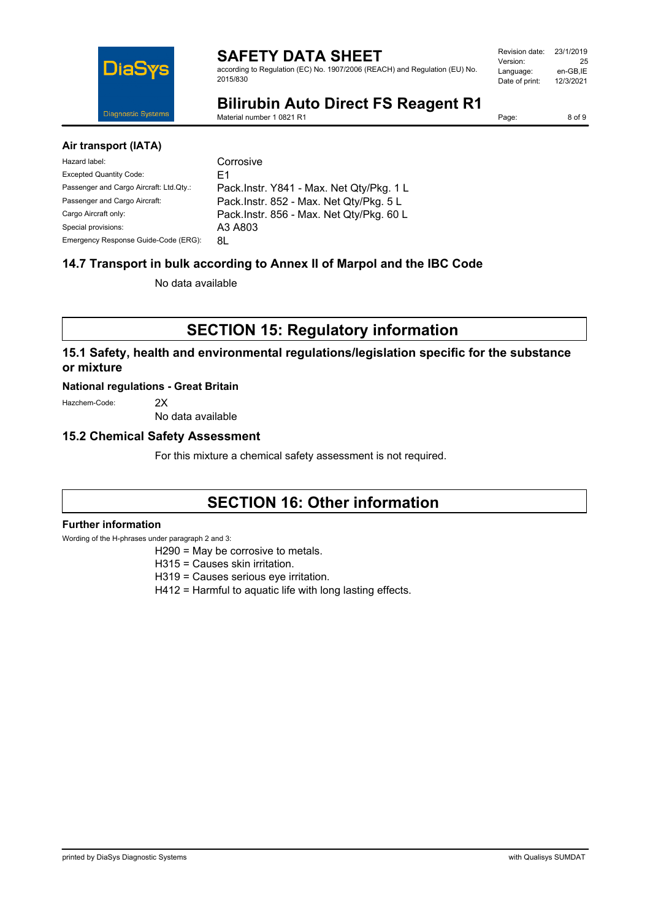

according to Regulation (EC) No. 1907/2006 (REACH) and Regulation (EU) No. 2015/830

| Revision date: | 23/1/2019 |
|----------------|-----------|
| Version:       | 25        |
| Language:      | en-GB.IE  |
| Date of print: | 12/3/2021 |
|                |           |

# **Bilirubin Auto Direct FS Reagent R1**

Material number 1 0821 R1

Page: 8 of 9

#### **Air transport (IATA)**

| Hazard label:                           | Corrosive                                 |
|-----------------------------------------|-------------------------------------------|
| <b>Excepted Quantity Code:</b>          | F1                                        |
| Passenger and Cargo Aircraft: Ltd.Qty.: | Pack. Instr. Y841 - Max. Net Qty/Pkg. 1 L |
| Passenger and Cargo Aircraft:           | Pack.Instr. 852 - Max. Net Qty/Pkg. 5 L   |
| Cargo Aircraft only:                    | Pack. Instr. 856 - Max. Net Qty/Pkg. 60 L |
| Special provisions:                     | A3 A803                                   |
| Emergency Response Guide-Code (ERG):    | 8L                                        |

## **14.7 Transport in bulk according to Annex II of Marpol and the IBC Code**

No data available

**SECTION 15: Regulatory information**

### **15.1 Safety, health and environmental regulations/legislation specific for the substance or mixture**

#### **National regulations - Great Britain**

Hazchem-Code: 2X

No data available

#### **15.2 Chemical Safety Assessment**

For this mixture a chemical safety assessment is not required.

## **SECTION 16: Other information**

#### **Further information**

Wording of the H-phrases under paragraph 2 and 3:

- H290 = May be corrosive to metals.
- H315 = Causes skin irritation.
- H319 = Causes serious eye irritation.
- H412 = Harmful to aquatic life with long lasting effects.